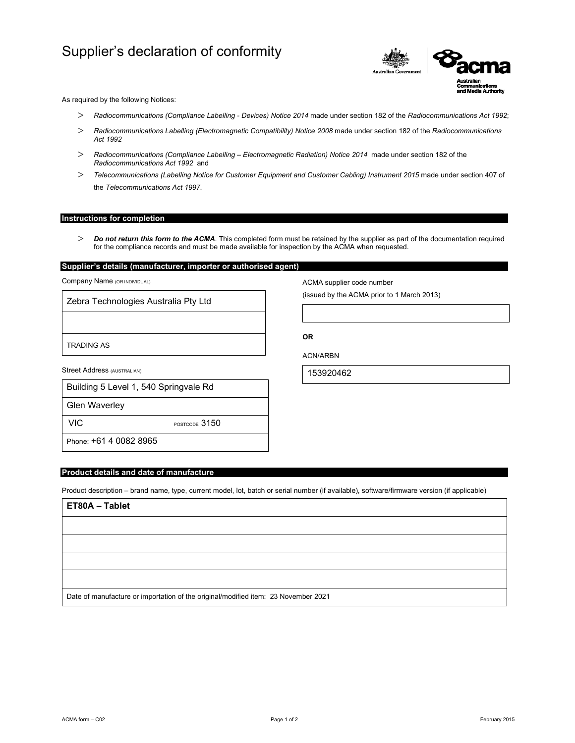# Supplier's declaration of conformity



As required by the following Notices:

- *Radiocommunications (Compliance Labelling Devices) Notice 2014* made under section 182 of the *Radiocommunications Act 1992*;
- *Radiocommunications Labelling (Electromagnetic Compatibility) Notice 2008* made under section 182 of the *Radiocommunications Act 1992*
- *Radiocommunications (Compliance Labelling Electromagnetic Radiation) Notice 2014* made under section 182 of the *Radiocommunications Act 1992* and
- *Telecommunications (Labelling Notice for Customer Equipment and Customer Cabling) Instrument 2015* made under section 407 of the *Telecommunications Act 1997*.

#### **Instructions for completion**

 *Do not return this form to the ACMA*. This completed form must be retained by the supplier as part of the documentation required for the compliance records and must be made available for inspection by the ACMA when requested.

### **Supplier's details (manufacturer, importer or authorised agent)**

Company Name (OR INDIVIDUAL)

Zebra Technologies Australia Pty Ltd

TRADING AS

Street Address (AUSTRALIAN)

| Building 5 Level 1, 540 Springvale Rd |
|---------------------------------------|
|                                       |

Glen Waverley

VIC POSTCODE 3150

Phone: +61 4 0082 8965

#### **Product details and date of manufacture**

Product description – brand name, type, current model, lot, batch or serial number (if available), software/firmware version (if applicable)

## **ET80A – Tablet**

Date of manufacture or importation of the original/modified item: 23 November 2021

ACN/ARBN

**OR** 

153920462

ACMA supplier code number

(issued by the ACMA prior to 1 March 2013)